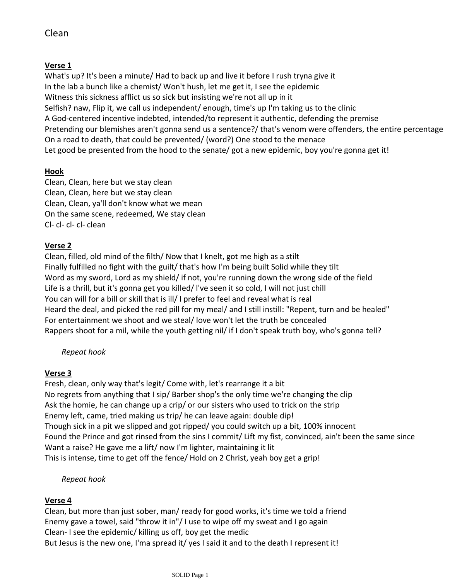# Clean

### **Verse 1**

What's up? It's been a minute/ Had to back up and live it before I rush tryna give it In the lab a bunch like a chemist/ Won't hush, let me get it, I see the epidemic Witness this sickness afflict us so sick but insisting we're not all up in it Selfish? naw, Flip it, we call us independent/ enough, time's up I'm taking us to the clinic A God-centered incentive indebted, intended/to represent it authentic, defending the premise Pretending our blemishes aren't gonna send us a sentence?/ that's venom were offenders, the entire percentage On a road to death, that could be prevented/ (word?) One stood to the menace Let good be presented from the hood to the senate/ got a new epidemic, boy you're gonna get it!

## **Hook**

Clean, Clean, here but we stay clean Clean, Clean, here but we stay clean Clean, Clean, ya'll don't know what we mean On the same scene, redeemed, We stay clean Cl- cl- cl- cl- clean

### **Verse 2**

Clean, filled, old mind of the filth/ Now that I knelt, got me high as a stilt Finally fulfilled no fight with the guilt/ that's how I'm being built Solid while they tilt Word as my sword, Lord as my shield/ if not, you're running down the wrong side of the field Life is a thrill, but it's gonna get you killed/ l've seen it so cold, I will not just chill You can will for a bill or skill that is ill/ I prefer to feel and reveal what is real Heard the deal, and picked the red pill for my meal/ and I still instill: "Repent, turn and be healed" For entertainment we shoot and we steal/ love won't let the truth be concealed Rappers shoot for a mil, while the youth getting nil/ if I don't speak truth boy, who's gonna tell?

## *Repeat hook*

### **Verse 3**

Fresh, clean, only way that's legit/ Come with, let's rearrange it a bit No regrets from anything that I sip/ Barber shop's the only time we're changing the clip Ask the homie, he can change up a crip/ or our sisters who used to trick on the strip Enemy left, came, tried making us trip/ he can leave again: double dip! Though sick in a pit we slipped and got ripped/ you could switch up a bit, 100% innocent Found the Prince and got rinsed from the sins I commit/ Lift my fist, convinced, ain't been the same since Want a raise? He gave me a lift/ now I'm lighter, maintaining it lit This is intense, time to get off the fence/ Hold on 2 Christ, yeah boy get a grip!

### *Repeat hook*

### **Verse 4**

Clean, but more than just sober, man/ ready for good works, it's time we told a friend Enemy gave a towel, said "throw it in"/ I use to wipe off my sweat and I go again Clean- I see the epidemic/ killing us off, boy get the medic But Jesus is the new one, I'ma spread it/ yes I said it and to the death I represent it!